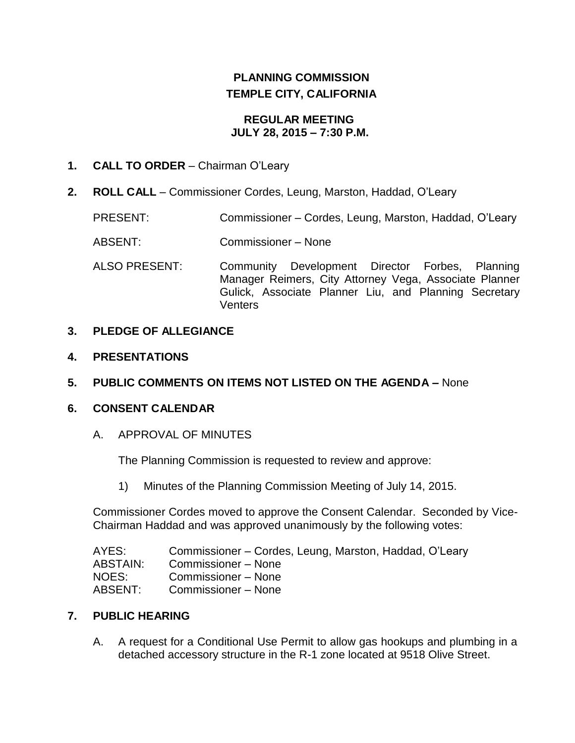# **PLANNING COMMISSION TEMPLE CITY, CALIFORNIA**

#### **REGULAR MEETING JULY 28, 2015 – 7:30 P.M.**

### **1. CALL TO ORDER** – Chairman O'Leary

**2. ROLL CALL** – Commissioner Cordes, Leung, Marston, Haddad, O'Leary

PRESENT: Commissioner – Cordes, Leung, Marston, Haddad, O'Leary

- ABSENT: Commissioner None
- ALSO PRESENT: Community Development Director Forbes, Planning Manager Reimers, City Attorney Vega, Associate Planner Gulick, Associate Planner Liu, and Planning Secretary **Venters**

#### **3. PLEDGE OF ALLEGIANCE**

- **4. PRESENTATIONS**
- **5. PUBLIC COMMENTS ON ITEMS NOT LISTED ON THE AGENDA –** None

### **6. CONSENT CALENDAR**

A. APPROVAL OF MINUTES

The Planning Commission is requested to review and approve:

1) Minutes of the [Planning Commission Meeting](http://ca-templecity.civicplus.com/DocumentCenter/View/3892) of July 14, 2015.

Commissioner Cordes moved to approve the Consent Calendar. Seconded by Vice-Chairman Haddad and was approved unanimously by the following votes:

| AYES:    | Commissioner – Cordes, Leung, Marston, Haddad, O'Leary |
|----------|--------------------------------------------------------|
| ABSTAIN: | Commissioner – None                                    |
| NOES:    | Commissioner – None                                    |
| ABSENT:  | Commissioner – None                                    |

### **7. PUBLIC HEARING**

A. A request for a Conditional Use Permit to allow gas hookups and plumbing in a detached accessory structure in the R-1 zone located at 9518 Olive Street.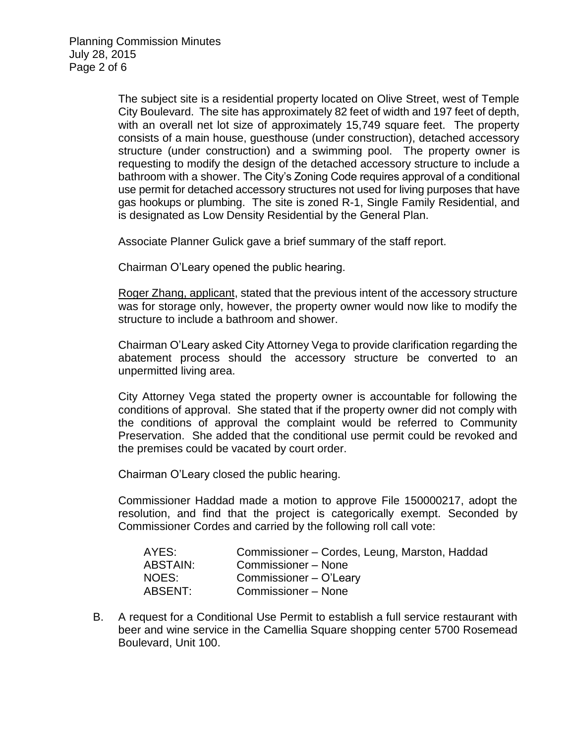The subject site is a residential property located on Olive Street, west of Temple City Boulevard. The site has approximately 82 feet of width and 197 feet of depth, with an overall net lot size of approximately 15,749 square feet. The property consists of a main house, guesthouse (under construction), detached accessory structure (under construction) and a swimming pool. The property owner is requesting to modify the design of the detached accessory structure to include a bathroom with a shower. The City's Zoning Code requires approval of a conditional use permit for detached accessory structures not used for living purposes that have gas hookups or plumbing. The site is zoned R-1, Single Family Residential, and is designated as Low Density Residential by the General Plan.

Associate Planner Gulick gave a brief summary of the staff report.

Chairman O'Leary opened the public hearing.

Roger Zhang, applicant, stated that the previous intent of the accessory structure was for storage only, however, the property owner would now like to modify the structure to include a bathroom and shower.

Chairman O'Leary asked City Attorney Vega to provide clarification regarding the abatement process should the accessory structure be converted to an unpermitted living area.

City Attorney Vega stated the property owner is accountable for following the conditions of approval. She stated that if the property owner did not comply with the conditions of approval the complaint would be referred to Community Preservation. She added that the conditional use permit could be revoked and the premises could be vacated by court order.

Chairman O'Leary closed the public hearing.

Commissioner Haddad made a motion to approve File 150000217, adopt the resolution, and find that the project is categorically exempt. Seconded by Commissioner Cordes and carried by the following roll call vote:

| AYES:    | Commissioner – Cordes, Leung, Marston, Haddad |
|----------|-----------------------------------------------|
| ABSTAIN: | Commissioner - None                           |
| NOES:    | Commissioner - O'Leary                        |
| ABSENT:  | Commissioner - None                           |

B. A request for a Conditional Use Permit to establish a full service restaurant with beer and wine service in the Camellia Square shopping center 5700 Rosemead Boulevard, Unit 100.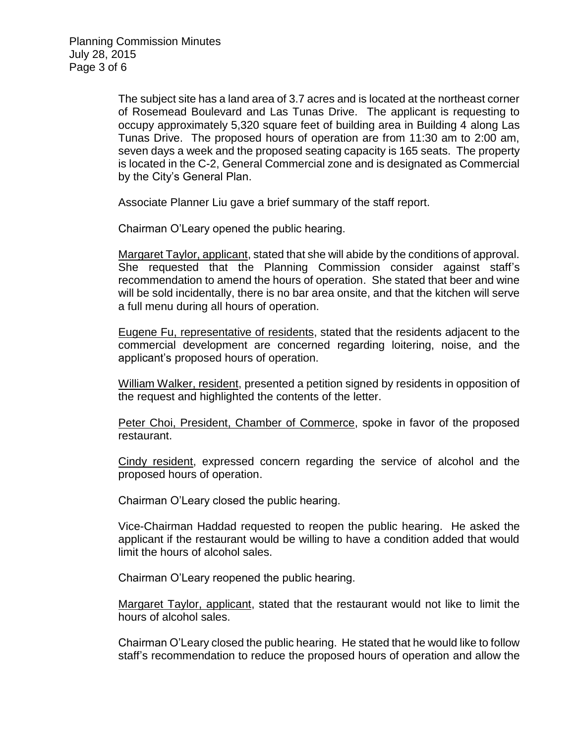The subject site has a land area of 3.7 acres and is located at the northeast corner of Rosemead Boulevard and Las Tunas Drive. The applicant is requesting to occupy approximately 5,320 square feet of building area in Building 4 along Las Tunas Drive. The proposed hours of operation are from 11:30 am to 2:00 am, seven days a week and the proposed seating capacity is 165 seats. The property is located in the C-2, General Commercial zone and is designated as Commercial by the City's General Plan.

Associate Planner Liu gave a brief summary of the staff report.

Chairman O'Leary opened the public hearing.

Margaret Taylor, applicant, stated that she will abide by the conditions of approval. She requested that the Planning Commission consider against staff's recommendation to amend the hours of operation. She stated that beer and wine will be sold incidentally, there is no bar area onsite, and that the kitchen will serve a full menu during all hours of operation.

Eugene Fu, representative of residents, stated that the residents adjacent to the commercial development are concerned regarding loitering, noise, and the applicant's proposed hours of operation.

William Walker, resident, presented a petition signed by residents in opposition of the request and highlighted the contents of the letter.

Peter Choi, President, Chamber of Commerce, spoke in favor of the proposed restaurant.

Cindy resident, expressed concern regarding the service of alcohol and the proposed hours of operation.

Chairman O'Leary closed the public hearing.

Vice-Chairman Haddad requested to reopen the public hearing. He asked the applicant if the restaurant would be willing to have a condition added that would limit the hours of alcohol sales.

Chairman O'Leary reopened the public hearing.

Margaret Taylor, applicant, stated that the restaurant would not like to limit the hours of alcohol sales.

Chairman O'Leary closed the public hearing. He stated that he would like to follow staff's recommendation to reduce the proposed hours of operation and allow the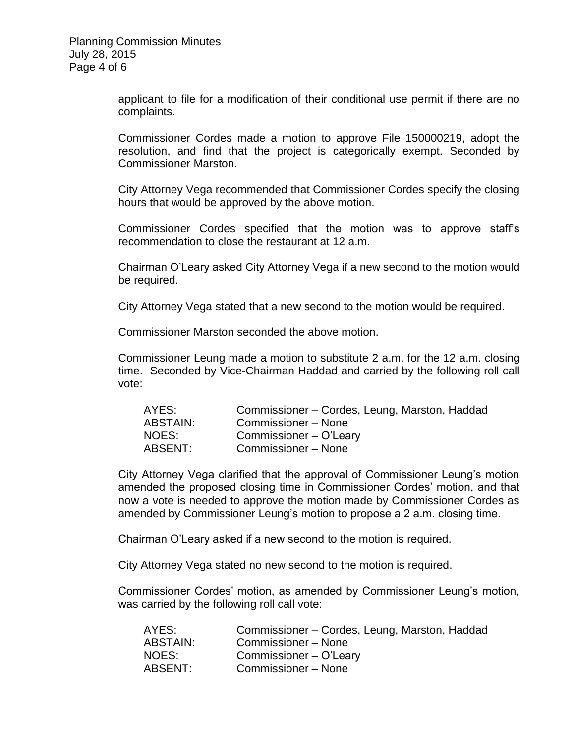applicant to file for a modification of their conditional use permit if there are no complaints.

Commissioner Cordes made a motion to approve File 150000219, adopt the resolution, and find that the project is categorically exempt. Seconded by Commissioner Marston.

City Attorney Vega recommended that Commissioner Cordes specify the closing hours that would be approved by the above motion.

Commissioner Cordes specified that the motion was to approve staff's recommendation to close the restaurant at 12 a.m.

Chairman O'Leary asked City Attorney Vega if a new second to the motion would be required.

City Attorney Vega stated that a new second to the motion would be required.

Commissioner Marston seconded the above motion.

Commissioner Leung made a motion to substitute 2 a.m. for the 12 a.m. closing time. Seconded by Vice-Chairman Haddad and carried by the following roll call vote:

| AYES:    | Commissioner – Cordes, Leung, Marston, Haddad |
|----------|-----------------------------------------------|
| ABSTAIN: | Commissioner – None                           |
| NOES:    | Commissioner - O'Leary                        |
| ABSENT:  | Commissioner - None                           |

City Attorney Vega clarified that the approval of Commissioner Leung's motion amended the proposed closing time in Commissioner Cordes' motion, and that now a vote is needed to approve the motion made by Commissioner Cordes as amended by Commissioner Leung's motion to propose a 2 a.m. closing time.

Chairman O'Leary asked if a new second to the motion is required.

City Attorney Vega stated no new second to the motion is required.

Commissioner Cordes' motion, as amended by Commissioner Leung's motion, was carried by the following roll call vote:

| AYES:    | Commissioner – Cordes, Leung, Marston, Haddad |
|----------|-----------------------------------------------|
| ABSTAIN: | Commissioner - None                           |
| NOES:    | Commissioner – O'Leary                        |
| ABSENT:  | Commissioner - None                           |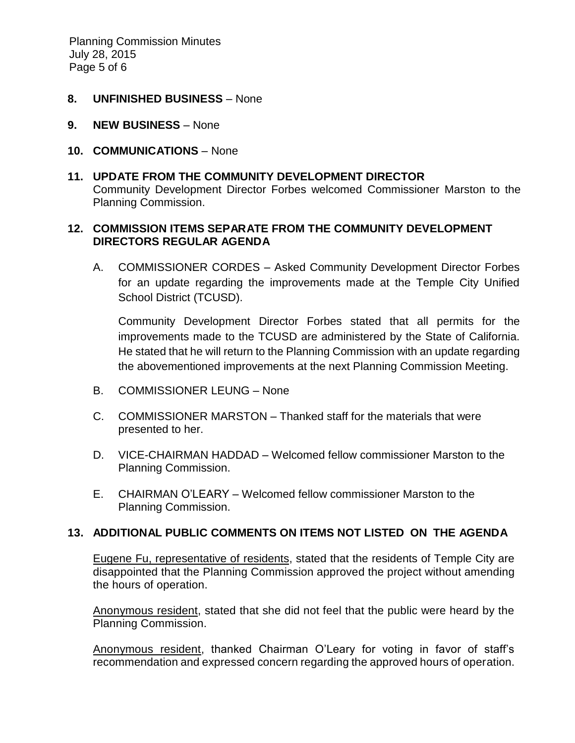Planning Commission Minutes July 28, 2015 Page 5 of 6

- **8. UNFINISHED BUSINESS** None
- **9. NEW BUSINESS** None
- **10. COMMUNICATIONS** None
- **11. UPDATE FROM THE COMMUNITY DEVELOPMENT DIRECTOR** Community Development Director Forbes welcomed Commissioner Marston to the Planning Commission.

### **12. COMMISSION ITEMS SEPARATE FROM THE COMMUNITY DEVELOPMENT DIRECTORS REGULAR AGENDA**

A. COMMISSIONER CORDES – Asked Community Development Director Forbes for an update regarding the improvements made at the Temple City Unified School District (TCUSD).

Community Development Director Forbes stated that all permits for the improvements made to the TCUSD are administered by the State of California. He stated that he will return to the Planning Commission with an update regarding the abovementioned improvements at the next Planning Commission Meeting.

- B. COMMISSIONER LEUNG None
- C. COMMISSIONER MARSTON Thanked staff for the materials that were presented to her.
- D. VICE-CHAIRMAN HADDAD Welcomed fellow commissioner Marston to the Planning Commission.
- E. CHAIRMAN O'LEARY Welcomed fellow commissioner Marston to the Planning Commission.

# **13. ADDITIONAL PUBLIC COMMENTS ON ITEMS NOT LISTED ON THE AGENDA**

Eugene Fu, representative of residents, stated that the residents of Temple City are disappointed that the Planning Commission approved the project without amending the hours of operation.

Anonymous resident, stated that she did not feel that the public were heard by the Planning Commission.

Anonymous resident, thanked Chairman O'Leary for voting in favor of staff's recommendation and expressed concern regarding the approved hours of operation.